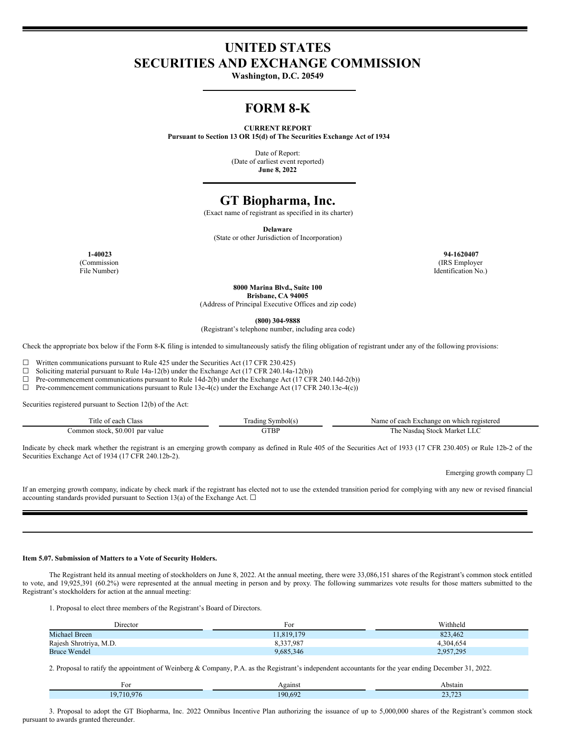# **UNITED STATES SECURITIES AND EXCHANGE COMMISSION**

**Washington, D.C. 20549**

# **FORM 8-K**

#### **CURRENT REPORT**

**Pursuant to Section 13 OR 15(d) of The Securities Exchange Act of 1934**

Date of Report: (Date of earliest event reported) **June 8, 2022**

# **GT Biopharma, Inc.**

(Exact name of registrant as specified in its charter)

**Delaware**

(State or other Jurisdiction of Incorporation)

(Commission File Number)

**1-40023 94-1620407** (IRS Employer Identification No.)

**8000 Marina Blvd., Suite 100**

**Brisbane, CA 94005**

(Address of Principal Executive Offices and zip code)

**(800) 304-9888**

(Registrant's telephone number, including area code)

Check the appropriate box below if the Form 8-K filing is intended to simultaneously satisfy the filing obligation of registrant under any of the following provisions:

 $\Box$  Written communications pursuant to Rule 425 under the Securities Act (17 CFR 230.425)  $\Box$  Soliciting material pursuant to Rule 14a-12(b) under the Exchange Act (17 CFR 240.14a-1

Soliciting material pursuant to Rule 14a-12(b) under the Exchange Act (17 CFR 240.14a-12(b))

☐ Pre-commencement communications pursuant to Rule 14d-2(b) under the Exchange Act (17 CFR 240.14d-2(b))

 $\Box$  Pre-commencement communications pursuant to Rule 13e-4(c) under the Exchange Act (17 CFR 240.13e-4(c))

Securities registered pursuant to Section 12(b) of the Act:

| m.<br>itle o<br><b>Class</b><br>each  | Symbol(s)<br>radıng | <b>Nam</b><br>Exchange on which registered<br>of each |
|---------------------------------------|---------------------|-------------------------------------------------------|
| \$0.001<br>nar value<br>Common stock. | GTBP                | Market .<br>1 he<br>Nasdag<br>Stock                   |

Indicate by check mark whether the registrant is an emerging growth company as defined in Rule 405 of the Securities Act of 1933 (17 CFR 230.405) or Rule 12b-2 of the Securities Exchange Act of 1934 (17 CFR 240.12b-2).

Emerging growth company  $\Box$ 

If an emerging growth company, indicate by check mark if the registrant has elected not to use the extended transition period for complying with any new or revised financial accounting standards provided pursuant to Section 13(a) of the Exchange Act.  $\Box$ 

#### **Item 5.07. Submission of Matters to a Vote of Security Holders.**

The Registrant held its annual meeting of stockholders on June 8, 2022. At the annual meeting, there were 33,086,151 shares of the Registrant's common stock entitled to vote, and 19,925,391 (60.2%) were represented at the annual meeting in person and by proxy. The following summarizes vote results for those matters submitted to the Registrant's stockholders for action at the annual meeting:

1. Proposal to elect three members of the Registrant's Board of Directors.

| Director               | For       | Withheld  |
|------------------------|-----------|-----------|
| Michael Breen          | 1.819.179 | 823.462   |
| Rajesh Shrotriya, M.D. | 8,337,987 | 4.304.654 |
| <b>Bruce Wendel</b>    | 9,685,346 | 2,957,295 |

2. Proposal to ratify the appointment of Weinberg & Company, P.A. as the Registrant's independent accountants for the year ending December 31, 2022.

| For                                                                                                                                                                 | gains<br>____ | Abstain                 |
|---------------------------------------------------------------------------------------------------------------------------------------------------------------------|---------------|-------------------------|
| <b>Contract Contract Contract Contract Contract Contract Contract Contract Contract Contract Contract Contract Co</b><br>$\sim$ $\sim$ $\sim$<br>$\sim$<br>$\Omega$ | 190.697       | 22.72<br><u>_</u> _____ |

3. Proposal to adopt the GT Biopharma, Inc. 2022 Omnibus Incentive Plan authorizing the issuance of up to 5,000,000 shares of the Registrant's common stock pursuant to awards granted thereunder.